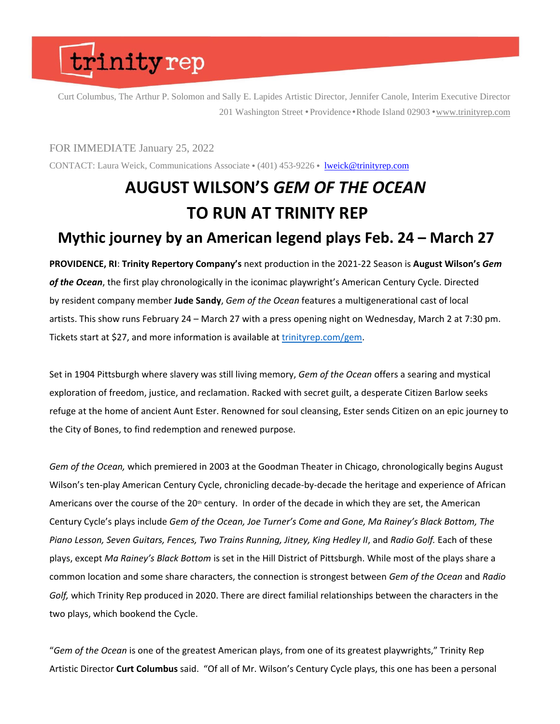Curt Columbus, The Arthur P. Solomon and Sally E. Lapides Artistic Director, Jennifer Canole, Interim Executive Director 201 Washington Street • Providence • Rhode Island 02903 • [www.trinityrep.com](http://www.trinityrep.com/)

#### FOR IMMEDIATE January 25, 2022

CONTACT: Laura Weick, Communications Associate • (401) 453-9226 • [lweick@trinityrep.com](mailto:lweick@trinityrep.com)

### **AUGUST WILSON'S** *GEM OF THE OCEAN* **TO RUN AT TRINITY REP Mythic journey by an American legend plays Feb. 24 – March 27**

**PROVIDENCE, RI**: **Trinity Repertory Company's** next production in the 2021-22 Season is **August Wilson's** *Gem of the Ocean*, the first play chronologically in the iconimac playwright's American Century Cycle. Directed by resident company member **Jude Sandy**, *Gem of the Ocean* features a multigenerational cast of local artists. This show runs February 24 – March 27 with a press opening night on Wednesday, March 2 at 7:30 pm. Tickets start at \$27, and more information is available at [trinityrep.com/gem.](http://www.trinityrep.com/gem)

Set in 1904 Pittsburgh where slavery was still living memory, *Gem of the Ocean* offers a searing and mystical exploration of freedom, justice, and reclamation. Racked with secret guilt, a desperate Citizen Barlow seeks refuge at the home of ancient Aunt Ester. Renowned for soul cleansing, Ester sends Citizen on an epic journey to the City of Bones, to find redemption and renewed purpose.

*Gem of the Ocean,* which premiered in 2003 at the Goodman Theater in Chicago, chronologically begins August Wilson's ten-play American Century Cycle, chronicling decade-by-decade the heritage and experience of African Americans over the course of the  $20<sup>th</sup>$  century. In order of the decade in which they are set, the American Century Cycle's plays include *Gem of the Ocean, Joe Turner's Come and Gone, Ma Rainey's Black Bottom, The*  Piano Lesson, Seven Guitars, Fences, Two Trains Running, Jitney, King Hedley II, and Radio Golf. Each of these plays, except *Ma Rainey's Black Bottom* is set in the Hill District of Pittsburgh. While most of the plays share a common location and some share characters, the connection is strongest between *Gem of the Ocean* and *Radio Golf,* which Trinity Rep produced in 2020. There are direct familial relationships between the characters in the two plays, which bookend the Cycle.

"*Gem of the Ocean* is one of the greatest American plays, from one of its greatest playwrights," Trinity Rep Artistic Director **Curt Columbus** said. "Of all of Mr. Wilson's Century Cycle plays, this one has been a personal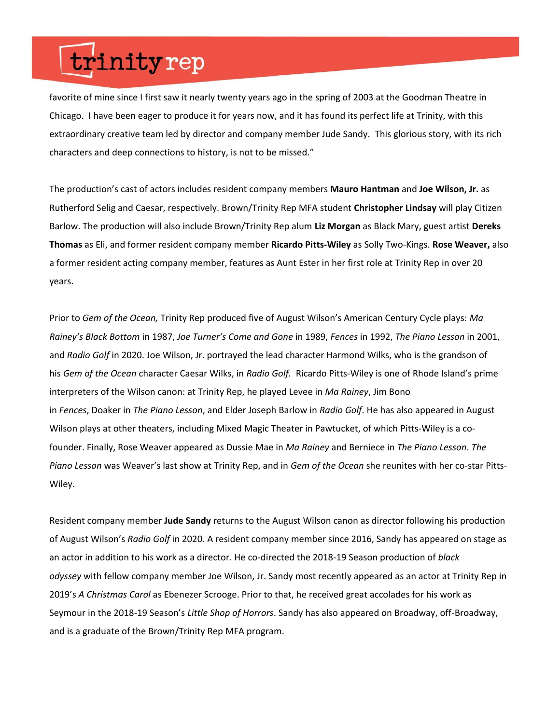favorite of mine since I first saw it nearly twenty years ago in the spring of 2003 at the Goodman Theatre in Chicago. I have been eager to produce it for years now, and it has found its perfect life at Trinity, with this extraordinary creative team led by director and company member Jude Sandy. This glorious story, with its rich characters and deep connections to history, is not to be missed."

The production's cast of actors includes resident company members **Mauro Hantman** and **Joe Wilson, Jr.** as Rutherford Selig and Caesar, respectively. Brown/Trinity Rep MFA student **Christopher Lindsay** will play Citizen Barlow. The production will also include Brown/Trinity Rep alum **Liz Morgan** as Black Mary, guest artist **Dereks Thomas** as Eli, and former resident company member **Ricardo Pitts-Wiley** as Solly Two-Kings. **Rose Weaver,** also a former resident acting company member, features as Aunt Ester in her first role at Trinity Rep in over 20 years.

Prior to *Gem of the Ocean,* Trinity Rep produced five of August Wilson's American Century Cycle plays: *Ma Rainey's Black Bottom* in 1987, *Joe Turner's Come and Gone* in 1989, *Fences* in 1992, *The Piano Lesson* in 2001, and *Radio Golf* in 2020. Joe Wilson, Jr. portrayed the lead character Harmond Wilks, who is the grandson of his *Gem of the Ocean* character Caesar Wilks, in *Radio Golf.* Ricardo Pitts-Wiley is one of Rhode Island's prime interpreters of the Wilson canon: at Trinity Rep, he played Levee in *Ma Rainey*, Jim Bono in *Fences*, Doaker in *The Piano Lesson*, and Elder Joseph Barlow in *Radio Golf*. He has also appeared in August Wilson plays at other theaters, including Mixed Magic Theater in Pawtucket, of which Pitts-Wiley is a cofounder. Finally, Rose Weaver appeared as Dussie Mae in *Ma Rainey* and Berniece in *The Piano Lesson*. *The Piano Lesson* was Weaver's last show at Trinity Rep, and in *Gem of the Ocean* she reunites with her co-star Pitts-Wiley.

Resident company member **Jude Sandy** returns to the August Wilson canon as director following his production of August Wilson's *Radio Golf* in 2020. A resident company member since 2016, Sandy has appeared on stage as an actor in addition to his work as a director. He co-directed the 2018-19 Season production of *black odyssey* with fellow company member Joe Wilson, Jr. Sandy most recently appeared as an actor at Trinity Rep in 2019's *A Christmas Carol* as Ebenezer Scrooge. Prior to that, he received great accolades for his work as Seymour in the 2018-19 Season's *Little Shop of Horrors*. Sandy has also appeared on Broadway, off-Broadway, and is a graduate of the Brown/Trinity Rep MFA program.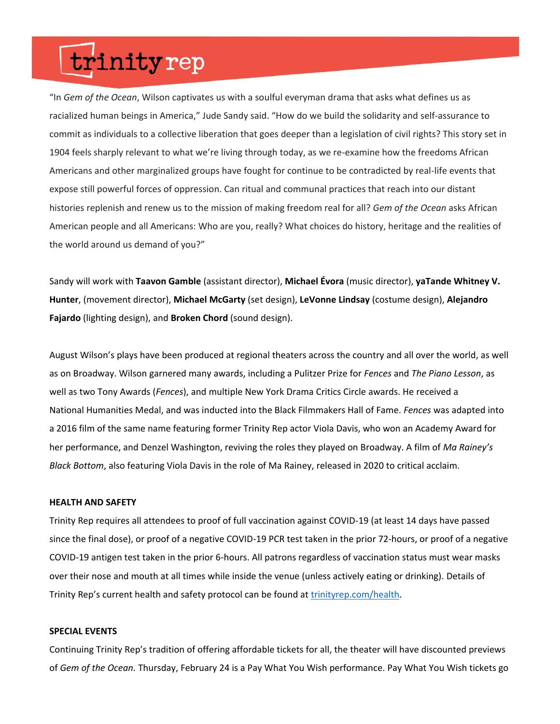"In *Gem of the Ocean*, Wilson captivates us with a soulful everyman drama that asks what defines us as racialized human beings in America," Jude Sandy said. "How do we build the solidarity and self-assurance to commit as individuals to a collective liberation that goes deeper than a legislation of civil rights? This story set in 1904 feels sharply relevant to what we're living through today, as we re-examine how the freedoms African Americans and other marginalized groups have fought for continue to be contradicted by real-life events that expose still powerful forces of oppression. Can ritual and communal practices that reach into our distant histories replenish and renew us to the mission of making freedom real for all? *Gem of the Ocean* asks African American people and all Americans: Who are you, really? What choices do history, heritage and the realities of the world around us demand of you?"

Sandy will work with **Taavon Gamble** (assistant director), **Michael Évora** (music director), **yaTande Whitney V. Hunter**, (movement director), **Michael McGarty** (set design), **LeVonne Lindsay** (costume design), **Alejandro Fajardo** (lighting design), and **Broken Chord** (sound design).

August Wilson's plays have been produced at regional theaters across the country and all over the world, as well as on Broadway. Wilson garnered many awards, including a Pulitzer Prize for *Fences* and *The Piano Lesson*, as well as two Tony Awards (*Fences*), and multiple New York Drama Critics Circle awards. He received a National Humanities Medal, and was inducted into the Black Filmmakers Hall of Fame. *Fences* was adapted into a 2016 film of the same name featuring former Trinity Rep actor Viola Davis, who won an Academy Award for her performance, and Denzel Washington, reviving the roles they played on Broadway. A film of *Ma Rainey's Black Bottom*, also featuring Viola Davis in the role of Ma Rainey, released in 2020 to critical acclaim.

#### **HEALTH AND SAFETY**

Trinity Rep requires all attendees to proof of full vaccination against COVID-19 (at least 14 days have passed since the final dose), or proof of a negative COVID-19 PCR test taken in the prior 72-hours, or proof of a negative COVID-19 antigen test taken in the prior 6-hours. All patrons regardless of vaccination status must wear masks over their nose and mouth at all times while inside the venue (unless actively eating or drinking). Details of Trinity Rep's current health and safety protocol can be found at [trinityrep.com/health](http://www.trinityrep.com/health). 

#### **SPECIAL EVENTS**

Continuing Trinity Rep's tradition of offering affordable tickets for all, the theater will have discounted previews of *Gem of the Ocean.* Thursday, February 24 is a Pay What You Wish performance. Pay What You Wish tickets go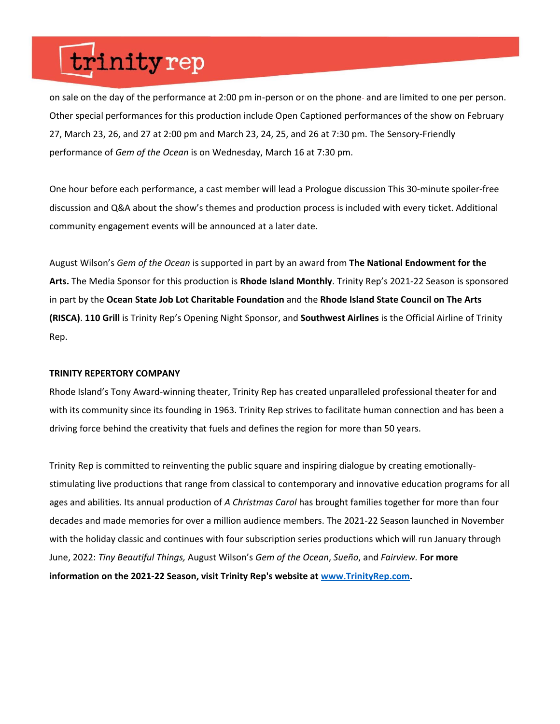on sale on the day of the performance at 2:00 pm in-person or on the phone- and are limited to one per person. Other special performances for this production include Open Captioned performances of the show on February 27, March 23, 26, and 27 at 2:00 pm and March 23, 24, 25, and 26 at 7:30 pm. The Sensory-Friendly performance of *Gem of the Ocean* is on Wednesday, March 16 at 7:30 pm.

One hour before each performance, a cast member will lead a Prologue discussion This 30-minute spoiler-free discussion and Q&A about the show's themes and production process is included with every ticket. Additional community engagement events will be announced at a later date.

August Wilson's *Gem of the Ocean* is supported in part by an award from **The National Endowment for the Arts.** The Media Sponsor for this production is **Rhode Island Monthly**. Trinity Rep's 2021-22 Season is sponsored in part by the **Ocean State Job Lot Charitable Foundation** and the **Rhode Island State Council on The Arts (RISCA)**. **110 Grill** is Trinity Rep's Opening Night Sponsor, and **Southwest Airlines** is the Official Airline of Trinity Rep.

#### **TRINITY REPERTORY COMPANY**

Rhode Island's Tony Award-winning theater, Trinity Rep has created unparalleled professional theater for and with its community since its founding in 1963. Trinity Rep strives to facilitate human connection and has been a driving force behind the creativity that fuels and defines the region for more than 50 years.

Trinity Rep is committed to reinventing the public square and inspiring dialogue by creating emotionallystimulating live productions that range from classical to contemporary and innovative education programs for all ages and abilities. Its annual production of *A Christmas Carol* has brought families together for more than four decades and made memories for over a million audience members. The 2021-22 Season launched in November with the holiday classic and continues with four subscription series productions which will run January through June, 2022: *Tiny Beautiful Things,* August Wilson's *Gem of the Ocean*, *Sueño*, and *Fairview.* **For more information on the 2021-22 Season, visit Trinity Rep's website at [www.TrinityRep.com.](http://www.trinityrep.com/)**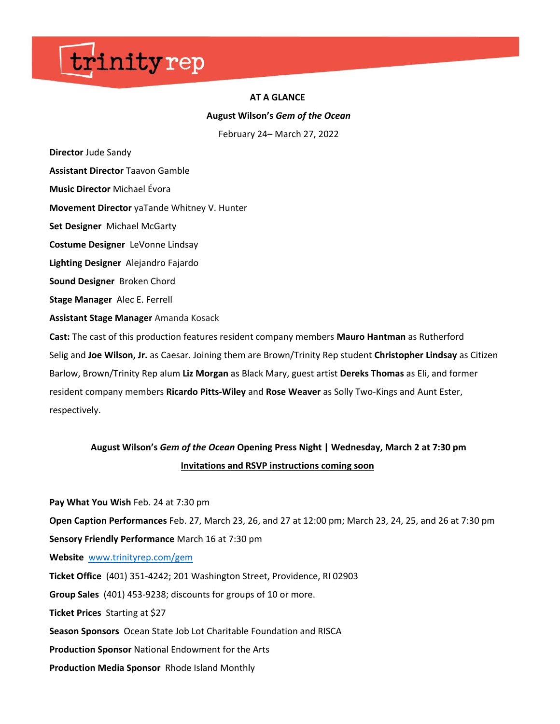#### **AT A GLANCE**

**August Wilson's** *Gem of the Ocean*

February 24– March 27, 2022

**Director**Jude Sandy

**Assistant Director** Taavon Gamble

**Music Director** Michael Évora

**Movement Director** yaTande Whitney V. Hunter

**Set Designer** Michael McGarty

**Costume Designer** LeVonne Lindsay

**Lighting Designer** Alejandro Fajardo

**Sound Designer** Broken Chord

**Stage Manager** Alec E. Ferrell

**Assistant Stage Manager** Amanda Kosack

**Cast:** The cast of this production features resident company members **Mauro Hantman** as Rutherford Selig and **Joe Wilson, Jr.** as Caesar. Joining them are Brown/Trinity Rep student **Christopher Lindsay** as Citizen Barlow, Brown/Trinity Rep alum **Liz Morgan** as Black Mary, guest artist **Dereks Thomas** as Eli, and former resident company members **Ricardo Pitts-Wiley** and **Rose Weaver** as Solly Two-Kings and Aunt Ester, respectively.

### **August Wilson's** *Gem of the Ocean* **Opening Press Night | Wednesday, March 2 at 7:30 pm Invitations and RSVP instructions coming soon**

**Pay What You Wish** Feb. 24 at 7:30 pm 

**Open Caption Performances** Feb. 27, March 23, 26, and 27 at 12:00 pm; March 23, 24, 25, and 26 at 7:30 pm  **Sensory Friendly Performance** March 16 at 7:30 pm

**Website** [www.trinityrep.com/gem](http://www.trinityrep.com/gem)

**Ticket Office** (401) 351-4242; 201 Washington Street, Providence, RI 02903  

**Group Sales** (401) 453-9238; discounts for groups of 10 or more. 

**Ticket Prices** Starting at \$27  

**Season Sponsors** Ocean State Job Lot Charitable Foundation and RISCA  

**Production Sponsor** National Endowment for the Arts

**Production Media Sponsor** Rhode Island Monthly